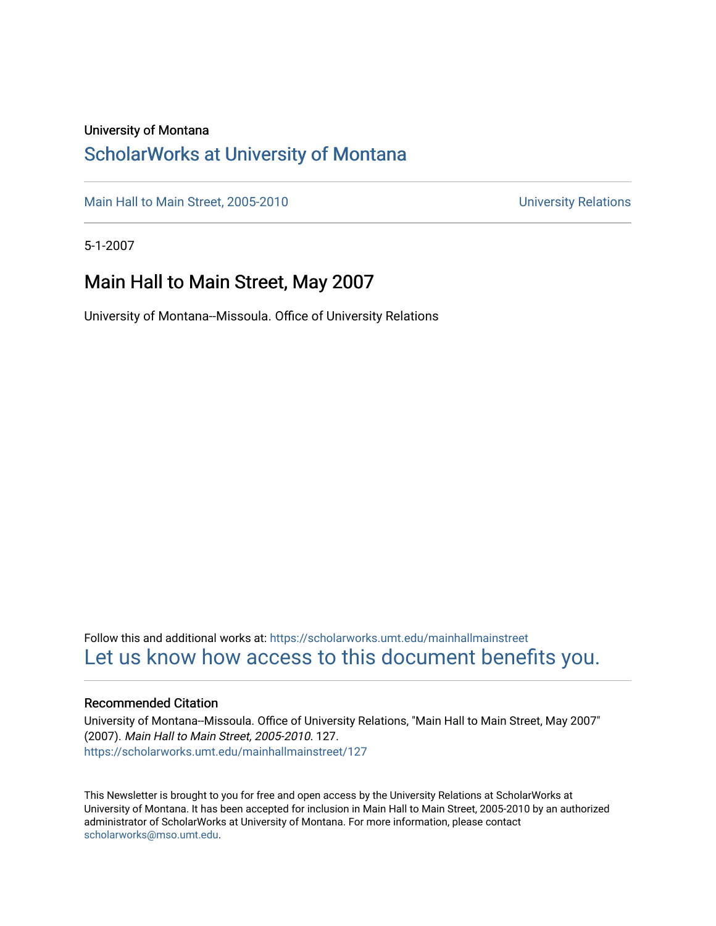#### University of Montana

### [ScholarWorks at University of Montana](https://scholarworks.umt.edu/)

[Main Hall to Main Street, 2005-2010](https://scholarworks.umt.edu/mainhallmainstreet) Main Hall to Main Street, 2005-2010

5-1-2007

### Main Hall to Main Street, May 2007

University of Montana--Missoula. Office of University Relations

Follow this and additional works at: [https://scholarworks.umt.edu/mainhallmainstreet](https://scholarworks.umt.edu/mainhallmainstreet?utm_source=scholarworks.umt.edu%2Fmainhallmainstreet%2F127&utm_medium=PDF&utm_campaign=PDFCoverPages) [Let us know how access to this document benefits you.](https://goo.gl/forms/s2rGfXOLzz71qgsB2) 

#### Recommended Citation

University of Montana--Missoula. Office of University Relations, "Main Hall to Main Street, May 2007" (2007). Main Hall to Main Street, 2005-2010. 127. [https://scholarworks.umt.edu/mainhallmainstreet/127](https://scholarworks.umt.edu/mainhallmainstreet/127?utm_source=scholarworks.umt.edu%2Fmainhallmainstreet%2F127&utm_medium=PDF&utm_campaign=PDFCoverPages)

This Newsletter is brought to you for free and open access by the University Relations at ScholarWorks at University of Montana. It has been accepted for inclusion in Main Hall to Main Street, 2005-2010 by an authorized administrator of ScholarWorks at University of Montana. For more information, please contact [scholarworks@mso.umt.edu.](mailto:scholarworks@mso.umt.edu)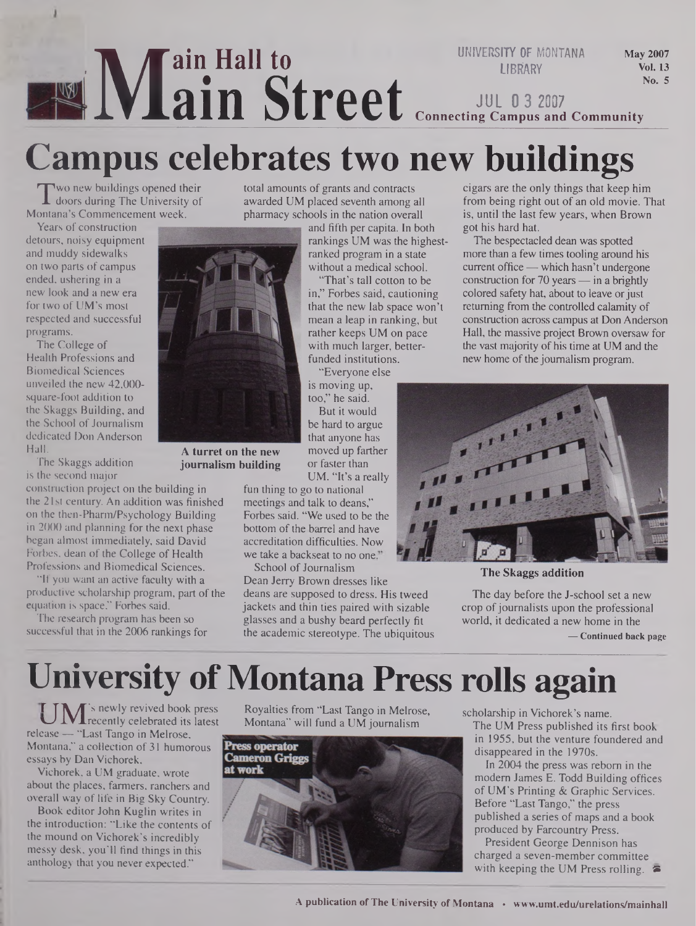#### *I***M ain Hall to ain Street UNIVERSITY OF MONTANA LIBRARY** May 2007 Vol. 13 No. 5 **JUL 0 3 2007 Connecting Campus and Community**

# **Campus celebrates two new buildings**

 $\prod_{\text{onta}}$ **Wo new buildings opened their** doors during The University of Montana's Commencement week.

Years of construction detours, noisy equipment and muddy sidewalks on two parts of campus ended, ushering in a new look and a new era for two of UM's most respected and successful programs.

The College of Health Professions and Biomedical Sciences unveiled the new 42,000 square-foot addition to the Skaggs Building, and the School of Journalism dedicated Don Anderson Hall.

The Skaggs addition is the second major

construction project on the building in the 21st century. An addition was finished on the then-Pharm/Psychology Building in 2000 and planning for the next phase began almost immediately, said David Forbes, dean of the College of Health Professions and Biomedical Sciences.

"If you want an active faculty with a productive scholarship program, part of the equation is space," Forbes said.

The research program has been so successful that in the 2006 rankings for total amounts of grants and contracts awarded UM placed seventh among all pharmacy schools in the nation overall

and fifth per capita. In both rankings UM was the highestranked program in a state without a medical school.

"That's tall cotton to be in," Forbes said, cautioning that the new lab space won't mean a leap in ranking, but rather keeps UM on pace with much larger, betterfunded institutions.

"Everyone else is moving up,

too," he said. But it would be hard to argue that anyone has moved up farther or faster than UM. "It's a really

fun thing to go to national meetings and talk to deans," Forbes said. "We used to be the bottom of the barrel and have accreditation difficulties. Now we take a backseat to no one."

School of Journalism Dean Jerry Brown dresses like deans are supposed to dress. His tweed jackets and thin ties paired with sizable glasses and a bushy beard perfectly fit the academic stereotype. The ubiquitous cigars are the only things that keep him from being right out of an old movie. That is, until the last few years, when Brown got his hard hat.

The bespectacled dean was spotted more than a few times tooling around his current office— which hasn't undergone construction for 70 years  $-$  in a brightly colored safety hat, about to leave or just returning from the controlled calamity of construction across campus at Don Anderson Hall, the massive project Brown oversaw for the vast majority of his time at UM and the new home of the journalism program.



**The Skaggs addition**

The day before the J-school set a new crop of journalists upon the professional world, it dedicated a new home in the **— Continued back page**

## **University ofMontana Press rolls again**

**r TA/T'<sup>s</sup>** newly revived book press **k\_J** JLVJLrecently celebrated its latest release — "Last Tango in Melrose, Montana," a collection of 31 humorous essays by Dan Vichorek,

Vichorek, a UM graduate, wrote about the places, farmers, ranchers and overall way of life in Big Sky Country.

Book editor John Kuglin writes in the introduction: "Like the contents of the mound on Vichorek's incredibly messy desk, you'll find things in this anthology that you never expected."

Royalties from "Last Tango in Melrose, Montana" will fund a UM journalism



scholarship in Vichorek's name.

The UM Press published its first book in 1955, but the venture foundered and disappeared in the 1970s.

In 2004 the press was reborn in the modem James E. Todd Building offices of UM's Printing & Graphic Services. Before "Last Tango," the press published a series of maps and a book produced by Farcountry Press.

President George Dennison has charged a seven-member committee with keeping the UM Press rolling.  $\approx$ 



**A turret on the new journalism building**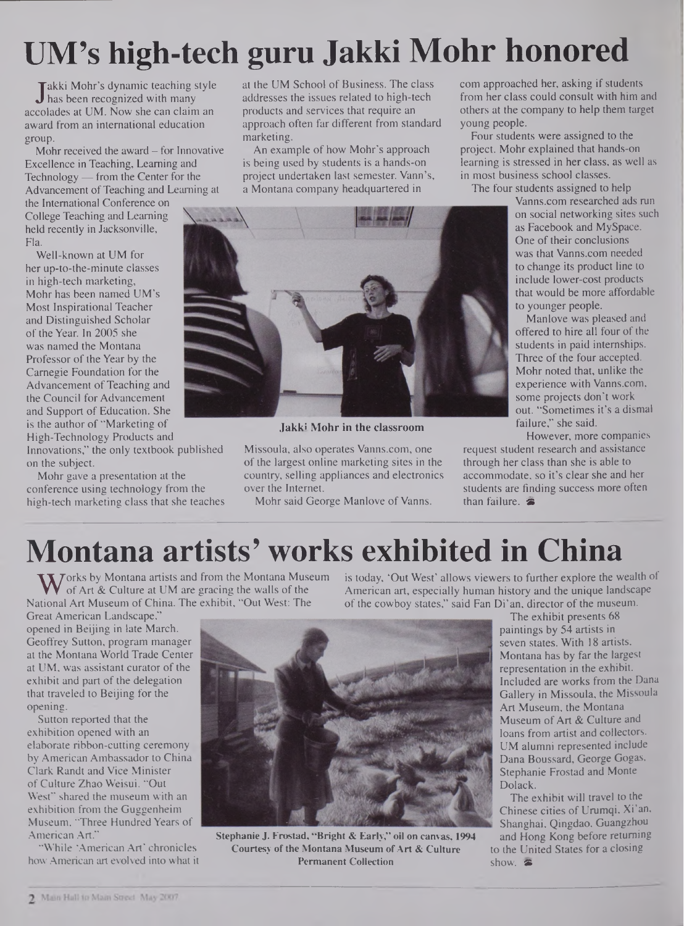# **UM's high-tech guru Jakki Mohr honored**

 $\int$ col akki Mohr's dynamic teaching style has been recognized with many accolades at UM. Now she can claim an award from an international education group.

Mohr received the award - for Innovative Excellence in Teaching, Learning and Technology — from the Center for the Advancement of Teaching and Learning at

the International Conference on College Teaching and Learning held recently in Jacksonville, Fla.

Well-known at UM for her up-to-the-minute classes in high-tech marketing, Mohr has been named UM's Most Inspirational Teacher and Distinguished Scholar of the Year. In 2005 she was named the Montana Professor of the Year by the Carnegie Foundation for the Advancement of Teaching and the Council for Advancement and Support of Education. She is the author of "Marketing of High-Technology Products and

Innovations," the only textbook published on the subject.

Mohr gave a presentation at the conference using technology from the high-tech marketing class that she teaches at the UM School of Business. The class addresses the issues related to high-tech products and services that require an approach often far different from standard marketing.

An example of how Mohr's approach is being used by students is a hands-on project undertaken last semester. Vann's, a Montana company headquartered in

com approached her, asking if students from her class could consult with him and others at the company to help them target young people.

Four students were assigned to the project. Mohr explained that hands-on learning is stressed in her class, as well as in most business school classes.

The four students assigned to help

<Vanns.com> researched ads run on social networking sites such as Facebook and MySpace. One of their conclusions was that <Vanns.com> needed to change its product line to include lower-cost products that would be more affordable to younger people.

Manlove.was pleased and offered to hire all four of the students in paid internships. Three of the four accepted. Mohr noted that, unlike the experience with <Vanns.com>, some projects don't work out. "Sometimes it's a dismal failure," she said.

However, more companies

request student research and assistance through her class than she is able to accommodate, so it's clear she and her students are finding success more often than failure.  $\ddot{\mathbf{z}}$ 



**Jakki Mohr in the classroom**

### **Montana artists' works exhibited in China**

Works by Montana artists and from the Montana Museum<br>National Art & Culture at UM are gracing the walls of the<br>National Art Museum of China. The exhibit, "Out West: The

Great American Landscape," opened in Beijing in late March. Geoffrey Sutton, program manager at the Montana World Trade Center at UM, was assistant curator of the exhibit and part of the delegation that traveled to Beijing for the opening.

Sutton reported that the exhibition opened with an elaborate ribbon-cutting ceremony byAmerican Ambassador to China Clark Randt and Vice Minister of Culture Zhao Weisui. "Out West" shared the museum with an exhibition from the Guggenheim Museum, "Three Hundred Years of American Art."

"While 'American Art' chronicles how American art evolved into what it is today, 'Out West' allows viewers to further explore the wealth of American art, especially human history and the unique landscape of the cowboy states," said Fan Di'an, director of the museum. The exhibit presents 68

paintings by 54 artists in seven states. With 18 artists, Montana has by far the largest representation in the exhibit. Included are works from the Dana Gallery in Missoula, the Missoula Art Museum, the Montana Museum of Art & Culture and loans from artist and collectors. UM alumni represented include Dana Boussard, George Gogas, Stephanie Frostad and Monte Dolack.

The exhibit will travel to the Chinese cities of Urumqi, Xi'an, Shanghai, Qingdao, Guangzhou and Hong Kong before returning to the United States for a closing show.  $\hat{\bullet}$ 

Missoula, also operates <Vanns.com>, one of the largest online marketing sites in the country, selling appliances and electronics over the Internet. Mohr said George Manlove of Vanns.

> Stephanie J. Frostad, "Bright & Early," oil on canvas, 1994 Courtesy of the Montana Museum of Art & Culture Permanent Collection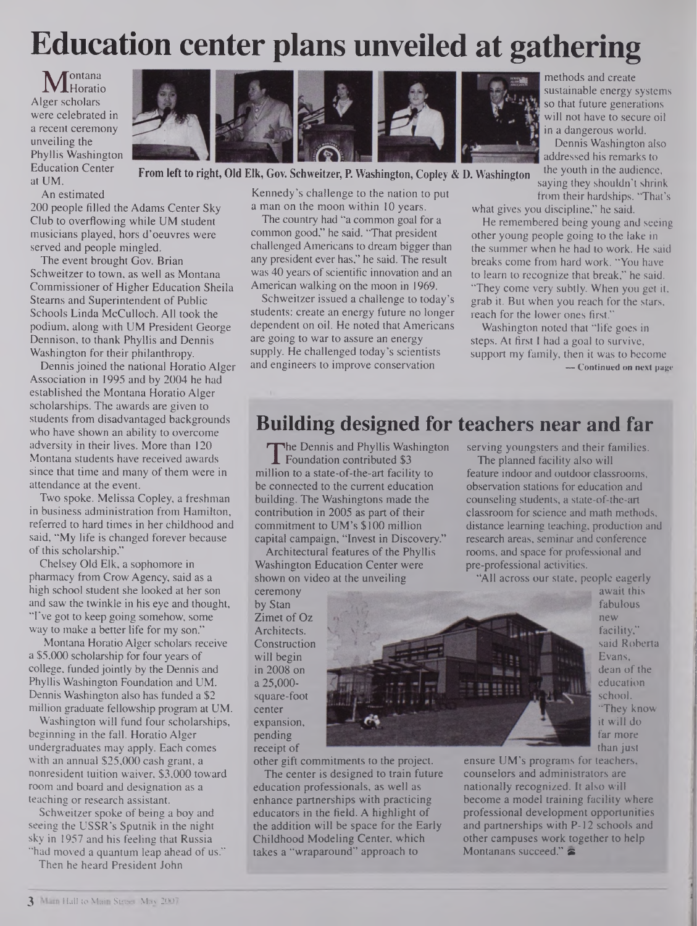## **Education center plans unveiled at gathering**

Mentalia<br>
ger scholars *contana* **Horatio** were celebrated in a recent ceremony unveiling the Phyllis Washington Education Center at UM.



**From left to right, Old Elk, Gov. Schweitzer, P. Washington, Copley & D. Washington**

An estimated

200 people filled the Adams Center Sky Club to overflowing while UM student musicians played, hors d'oeuvres were served and people mingled.

The event brought Gov. Brian Schweitzer to town, as well as Montana Commissioner of Higher Education Sheila Steams and Superintendent of Public Schools Linda McCulloch. All took the podium, along with UM President George Dennison, to thank Phyllis and Dennis Washington for their philanthropy.

Dennis joined the national Horatio Alger Association in 1995 and by 2004 he had established the Montana Horatio Alger scholarships. The awards are given to students from disadvantaged backgrounds who have shown an ability to overcome adversity in their lives. More than 120 Montana students have received awards since that time and many of them were in attendance at the event.

Two spoke. Melissa Copley, a freshman in business administration from Hamilton, referred to hard times in her childhood and said, "My life is changed forever because of this scholarship."

Chelsey Old Elk, a sophomore in pharmacy from Crow Agency, said as a high school student she looked at her son and saw the twinkle in his eye and thought, "I've got to keep going somehow, some way to make a better life for my son."

Montana Horatio Alger scholars receive a \$5,000 scholarship for four years of college, funded jointly by the Dennis and Phyllis Washington Foundation and UM. Dennis Washington also has funded a \$2 million graduate fellowship program at UM.

Washington will fund four scholarships, beginning in the fall. Horatio Alger undergraduates may apply. Each comes with an annual \$25,000 cash grant, *a* nonresident tuition waiver, \$3,000 toward room and board and designation as a teaching or research assistant.

Schweitzer spoke of being a boy and seeing the USSR's Sputnik in the night sky in 1957 and his feeling that Russia "had moved a quantum leap ahead of us."

Then he heard President John

Kennedy's challenge to the nation to put a man on the moon within 10 years.

The country had "a common goal for a common good," he said. 'That president challenged Americans to dream bigger than any president ever has," he said. The result was 40 years of scientific innovation and an American walking on the moon in 1969.

Schweitzer issued a challenge to today's students: create an energy future no longer dependent on oil. He noted that Americans are going to war to assure an energy supply. He challenged today's scientists and engineers to improve conservation

methods and create sustainable energy systems so that future generations will not have to secure oil in a dangerous world.

Dennis Washington also addressed his remarks to the youth in the audience, saying they shouldn't shrink from their hardships. 'That's

what gives you discipline," he said.

He remembered being young and seeing other young people going to the lake in the summer when he had to work. He said breaks come from hard work. "You have to learn to recognize that break," he said. 'They come very subtly. When you get it, grab it. But when you reach for the stars, reach for the lower ones first."

Washington noted that "life goes in steps. At first I had a goal to survive, support my family, then it was to become **— Continued on next page**

### **Building designed for teachers near and far**

I The Dennis and Phyllis Washington<br>
Foundation contributed \$3<br>
Ilion to a state-of-the-art facility to The Dennis and Phyllis Washington **L** Foundation contributed \$3 be connected to the current education building. The Washingtons made the contribution in 2005 as part of their commitment to UM's \$100 million capital campaign, "Invest in Discovery."

Architectural features of the Phyllis Washington Education Center were shown on video at the unveiling

ceremony by Stan Zimet of Oz Architects. Construction will begin in 2008 on a 25,000 square-foot center expansion, pending receipt of

other gift commitments to the project.

The center is designed to train future education professionals, as well as enhance partnerships with practicing educators in the field. A highlight of the addition will be space for the Early Childhood Modeling Center, which takes a "wraparound" approach to

serving youngsters and their families. The planned facility also will

feature indoor and outdoor classrooms, observation stations for education and counseling students, a state-of-the-art classroom for science and math methods, distance learning teaching, production and research areas, seminar and conference rooms, and space for professional and pre-professional activities.

"All across our state, people eagerly



await this fabulous new facility," said Roberta Evans, dean of the education school. "They know it will do far more than just

ensure UM's programs for teachers, counselors and administrators are nationally recognized. It also will become a model training facility where professional development opportunities and partnerships with P-12 schools and other campuses work together to help Montanans succeed." $\blacktriangleright$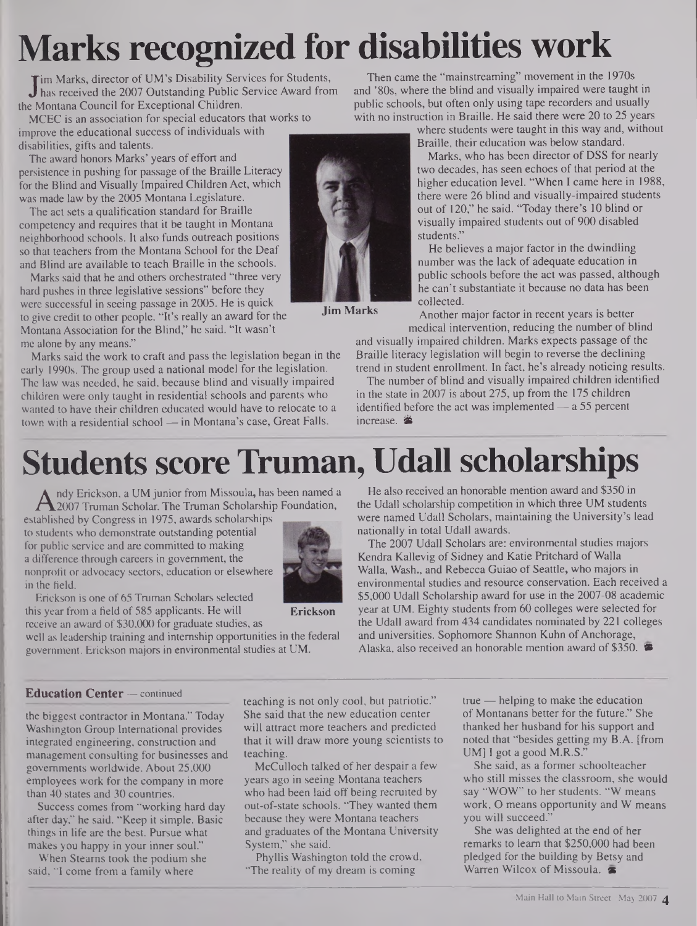# **Marks recognized for disabilities work**

**J** im Marks, director of UM's Disability Services for Students,<br>has received the 2007 Outstanding Public Service Award from<br>e Montana Council for Exceptional Children. has received the 2007 Outstanding Public Service Award from the Montana Council for Exceptional Children.

MCEC is an association for special educators that works to improve the educational success of individuals with disabilities, gifts and talents.

The award honors Marks' years of effort and persistence in pushing for passage of the Braille Literacy for the Blind and Visually Impaired Children Act, which was made law by the 2005 Montana Legislature.

The act sets a qualification standard for Braille competency and requires that it be taught in Montana neighborhood schools. It also funds outreach positions so that teachers from the Montana School for the Deaf and Blind are available to teach Braille in the schools.

Marks said that he and others orchestrated "three very hard pushes in three legislative sessions" before they were successful in seeing passage in 2005. He is quick to give credit to other people. "It's really an award for the Montana Association for the Blind," he said. "It wasn't me alone by any means."

Marks said the work to craft and pass the legislation began in the early 1990s. The group used a national model for the legislation. The law was needed, he said, because blind and visually impaired children were only taught in residential schools and parents who wanted to have their children educated would have to relocate to a town with a residential school — in Montana's case, Great Falls.

Then came the "mainstreaming" movement in the 1970s and '80s, where the blind and visually impaired were taught in public schools, but often only using tape recorders and usually with no instruction in Braille. He said there were 20 to 25 years

where students were taught in this way and, without Braille, their education was below standard.

Marks, who has been director of DSS for nearly two decades, has seen echoes of that period at the higher education level. "When I came here in 1988, there were 26 blind and visually-impaired students out of 120," he said. "Today there's 10 blind or visually impaired students out of 900 disabled students."

He believes a major factor in the dwindling number was the lack of adequate education in public schools before the act was passed, although he can't substantiate it because no data has been collected.

Another major factor in recent years is better medical intervention, reducing the number of blind

and visually impaired children. Marks expects passage of the Braille literacy legislation will begin to reverse the declining trend in student enrollment. In fact, he's already noticing results.

The number of blind and visually impaired children identified in the state in 2007 is about 275, up from the 175 children identified before the act was implemented — a 55 percent increase. <sup>参</sup>

## **Students score Truman, Udall scholarships**

A nay Erickson, a UM junior from Missoula, has been f<br>ablished by Congress in 1975, awards scholarships<br>ablished by Congress in 1975, awards scholarships ndy Erickson, a UM junior from Missoula, has been named a 2007 Truman Scholar. The Truman Scholarship Foundation,

to students who demonstrate outstanding potential for public service and are committed to making a difference through careers in government, the nonprofit or advocacy sectors, education or elsewhere in the field.



**Erickson**

Erickson is one of 65 Truman Scholars selected this year from a field of 585 applicants. He will receive an award of \$30,000 for graduate studies, as

well as leadership training and internship opportunities in the federal government. Erickson majors in environmental studies at UM.

He also received an honorable mention award and \$350 in the Udall scholarship competition in which three UM students were named Udall Scholars, maintaining the University's lead nationally in total Udall awards.

The 2007 Udall Scholars are: environmental studies majors Kendra Kallevig of Sidney and Katie Pritchard of Walla Walla, Wash., and Rebecca Guiao of Seattle, who majors in environmental studies and resource conservation. Each received a \$5,000 Udall Scholarship award for use in the 2007-08 academic year at UM. Eighty students from 60 colleges were selected for the Udall award from 434 candidates nominated by 221 colleges and universities. Sophomore Shannon Kuhn of Anchorage, Alaska, also received an honorable mention award of \$350.  $\bullet$ 

#### **Education Center —** continued

the biggest contractor in Montana." Today Washington Group International provides integrated engineering, construction and management consulting for businesses and governments worldwide. About 25,000 employees work for the company in more than 40 states and 30 countries.

Success comes from "working hard day after day," he said. "Keep it simple. Basic things in life are the best. Pursue what makes you happy in your inner soul."

When Steams took the podium she said, "I come from a family where

teaching is not only cool, but patriotic." She said that the new education center will attract more teachers and predicted that it will draw more young scientists to teaching.

McCulloch talked of her despair a few years ago in seeing Montana teachers who had been laid off being recruited by out-of-state schools. "They wanted them because they were Montana teachers and graduates of the Montana University System," she said.

Phyllis Washington told the crowd, "The reality of my dream is coming"

true — helping to make the education of Montanans better for the future." She thanked her husband for his support and noted that "besides getting my B.A. [from UM] I got a good M.R.S.'

She said, as a former schoolteacher who still misses the classroom, she would say "WOW" to her students. "W means work, O means opportunity and W means you will succeed."

She was delighted at the end of her remarks to learn that \$250,000 had been pledged for the building by Betsy and Warren Wilcox of Missoula.



**Jim Marks**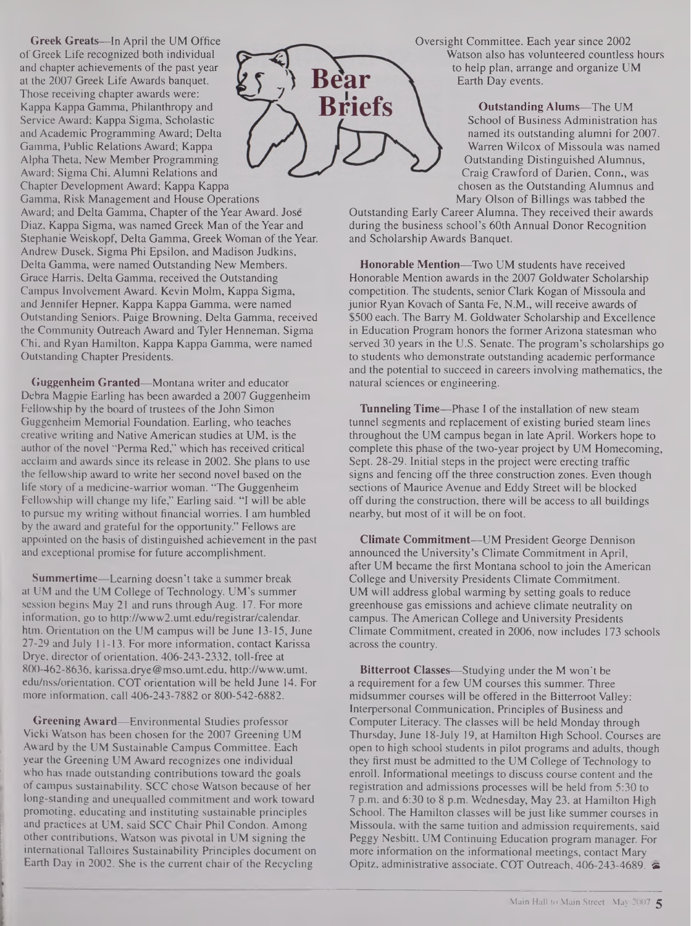Greek Greats—In April the UM Office of Greek Life recognized both individual and chapter achievements of the past year at the 2007 Greek Life Awards banquet. Those receiving chapter awards were: Kappa Kappa Gamma, Philanthropy and Service Award; Kappa Sigma, Scholastic and Academic Programming Award; Delta Gamma, Public Relations Award; Kappa Alpha Theta, New Member Programming Award; Sigma Chi, Alumni Relations and Chapter Development Award; Kappa Kappa

Gamma, Risk Management and House Operations Award; and Delta Gamma, Chapter of the Year Award. Jose Diaz, Kappa Sigma, was named Greek Man of the Year and Stephanie Weiskopf, Delta Gamma, Greek Woman of the Year. Andrew Dusek, Sigma Phi Epsilon, and Madison Judkins, Delta Gamma, were named Outstanding New Members. Grace Harris, Delta Gamma, received the Outstanding Campus Involvement Award. Kevin Molm, Kappa Sigma, and Jennifer Hepner, Kappa Kappa Gamma, were named Outstanding Seniors. Paige Browning, Delta Gamma, received the Community Outreach Award and Tyler Henneman, Sigma Chi, and Ryan Hamilton, Kappa Kappa Gamma, were named Outstanding Chapter Presidents.

Guggenheim Granted—Montana writer and educator Debra Magpie Earling has been awarded a 2007 Guggenheim Fellowship by the board of trustees of the John Simon Guggenheim Memorial Foundation. Earling, who teaches creative writing and Native American studies at UM, is the author of the novel "Perma Red," which has received critical acclaim and awards since its release in 2002. She plans to use the fellowship award to write her second novel based on the life story of a medicine-warrior woman. "The Guggenheim Fellowship will change my life," Earling said. "I will be able to pursue my writing without financial worries. I am humbled by the award and grateful for the opportunity." Fellows are appointed on the basis of distinguished achievement in the past and exceptional promise for future accomplishment.

Summertime—Learning doesn't take a summer break at UM and the UM College of Technology. UM's summer session begins May 21 and runs through Aug. 17. For more information, go to <http://www2.umt.edu/registrar/calendar>. htm. Orientation on the UM campus will be June 13-15, June 27-29 and July 11-13. For more information, contact Karissa Drye, director of orientation, 406-243-2332, toll-free at 800-462-8636, [karissa.drye@mso.umt.edu](mailto:karissa.drye@mso.umt.edu), <http://www.umt>. edu/nss/orientation. COT orientation will be held June 14. For more information, call 406-243-7882 or 800-542-6882.

Greening Award—Environmental Studies professor Vicki Watson has been chosen for the 2007 Greening UM Award by the UM Sustainable Campus Committee. Each year the Greening UM Award recognizes one individual who has made outstanding contributions toward the goals of campus sustainability. SCC chose Watson because of her long-standing and unequalled commitment and work toward promoting, educating and instituting sustainable principles and practices at UM, said SCC Chair Phil Condon. Among other contributions, Watson was pivotal in UM signing the international Talloires Sustainability Principles document on Earth Day in 2002. She is the current chair of the Recycling



Oversight Committee. Each year since 2002 Watson also has volunteered countless hours to help plan, arrange and organize UM Earth Day events.

> Outstanding Alums—The UM School of Business Administration has named its outstanding alumni for 2007. Warren Wilcox of Missoula was named Outstanding Distinguished Alumnus, Craig Crawford of Darien, Conn., was chosen as the Outstanding Alumnus and Mary Olson of Billings was tabbed the

Outstanding Early Career Alumna. They received their awards during the business school's 60th Annual Donor Recognition and Scholarship Awards Banquet.

Honorable Mention—Two UM students have received Honorable Mention awards in the 2007 Goldwater Scholarship competition. The students, senior Clark Kogan of Missoula and junior Ryan Kovach of Santa Fe, N.M., will receive awards of \$500 each. The Barry M. Goldwater Scholarship and Excellence in Education Program honors the former Arizona statesman who served 30 years in the U.S. Senate. The program's scholarships go to students who demonstrate outstanding academic performance and the potential to succeed in careers involving mathematics, the natural sciences or engineering.

Tunneling Time—Phase I of the installation of new steam tunnel segments and replacement of existing buried steam lines throughout the UM campus began in late April. Workers hope to complete this phase of the two-year project by UM Homecoming, Sept. 28-29. Initial steps in the project were erecting traffic signs and fencing off the three construction zones. Even though sections of Maurice Avenue and Eddy Street will be blocked off during the construction, there will be access to all buildings nearby, but most of it will be on foot.

Climate Commitment—UM President George Dennison announced the University's Climate Commitment in April, after UM became the first Montana school to join the American College and University Presidents Climate Commitment. UM will address global warming by setting goals to reduce greenhouse gas emissions and achieve climate neutrality on campus. The American College and University Presidents Climate Commitment, created in 2006, now includes 173 schools across the country.

Bitterroot Classes—Studying under the M won't be a requirement for a few UM courses this summer. Three midsummer courses will be offered in the Bitterroot Valley: Interpersonal Communication, Principles of Business and Computer Literacy. The classes will be held Monday through Thursday, June 18-July 19, at Hamilton High School. Courses are open to high school students in pilot programs and adults, though they first must be admitted to the UM College of Technology to enroll. Informational meetings to discuss course content and the registration and admissions processes will be held from 5:30 to 7 p.m. and 6:30 to 8 p.m. Wednesday, May 23, at Hamilton High School. The Hamilton classes will be just like summer courses in Missoula, with the same tuition and admission requirements, said Peggy Nesbitt, UM Continuing Education program manager. For more information on the informational meetings, contact Mary Opitz, administrative associate, COT Outreach, 406-243-4689. &